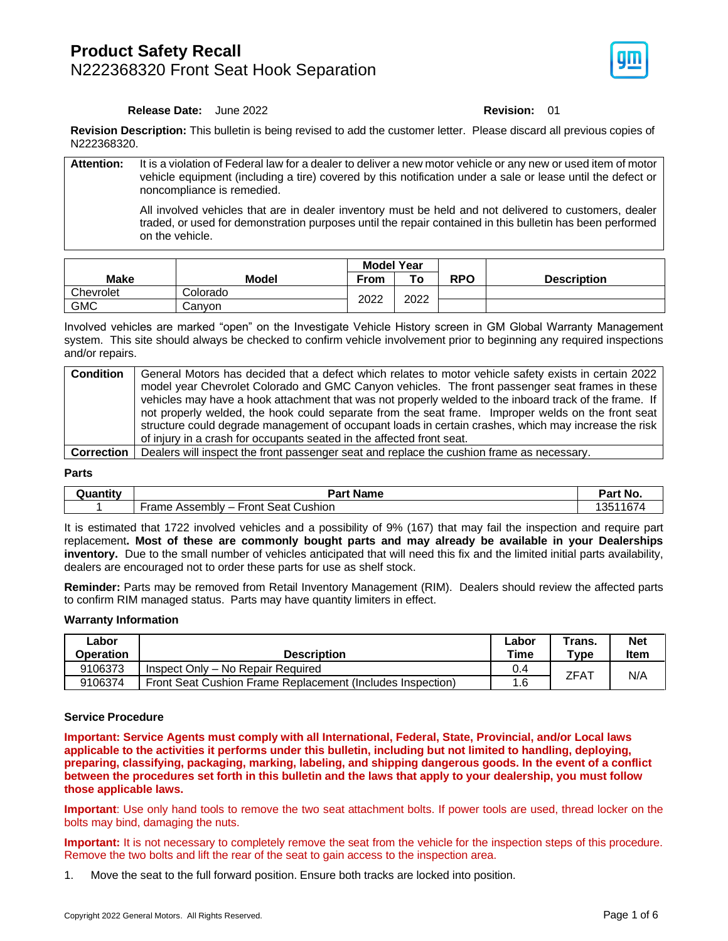### **Product Safety Recall** N222368320 Front Seat Hook Separation



### **Release Date:** June 2022 **Revision:** 01

**Revision Description:** This bulletin is being revised to add the customer letter. Please discard all previous copies of N222368320.

| <b>Attention:</b> | It is a violation of Federal law for a dealer to deliver a new motor vehicle or any new or used item of motor<br>vehicle equipment (including a tire) covered by this notification under a sale or lease until the defect or<br>noncompliance is remedied. |
|-------------------|------------------------------------------------------------------------------------------------------------------------------------------------------------------------------------------------------------------------------------------------------------|
|                   | All involved vehicles that are in dealer inventory must be held and not delivered to customers, dealer<br>traded, or used for demonstration purposes until the repair contained in this bulletin has been performed<br>on the vehicle.                     |

|             |          | <b>Model Year</b> |      |            |                    |
|-------------|----------|-------------------|------|------------|--------------------|
| <b>Make</b> | Model    | From              | То   | <b>RPO</b> | <b>Description</b> |
| Chevrolet   | Colorado | 2022              | 2022 |            |                    |
| <b>GMC</b>  | Canvon   |                   |      |            |                    |

Involved vehicles are marked "open" on the Investigate Vehicle History screen in GM Global Warranty Management system. This site should always be checked to confirm vehicle involvement prior to beginning any required inspections and/or repairs.

| <b>Condition</b> | General Motors has decided that a defect which relates to motor vehicle safety exists in certain 2022       |
|------------------|-------------------------------------------------------------------------------------------------------------|
|                  | model year Chevrolet Colorado and GMC Canyon vehicles. The front passenger seat frames in these             |
|                  | vehicles may have a hook attachment that was not properly welded to the inboard track of the frame. If      |
|                  | not properly welded, the hook could separate from the seat frame. Improper welds on the front seat          |
|                  | structure could degrade management of occupant loads in certain crashes, which may increase the risk        |
|                  | of injury in a crash for occupants seated in the affected front seat.                                       |
|                  | <b>Correction</b> Dealers will inspect the front passenger seat and replace the cushion frame as necessary. |

#### **Parts**

| Quantity | <b>Part Name</b><br>-ai J                                                                             | <b>Part No.</b>  |
|----------|-------------------------------------------------------------------------------------------------------|------------------|
|          | $\sim$<br>$\overline{\phantom{a}}$<br>Seat <sup>r</sup><br>⊦ront<br>Cushion<br>Frame.<br>- Assembly – | 16,<br>ังแ<br>ັບ |

It is estimated that 1722 involved vehicles and a possibility of 9% (167) that may fail the inspection and require part replacement**. Most of these are commonly bought parts and may already be available in your Dealerships inventory.** Due to the small number of vehicles anticipated that will need this fix and the limited initial parts availability, dealers are encouraged not to order these parts for use as shelf stock.

**Reminder:** Parts may be removed from Retail Inventory Management (RIM). Dealers should review the affected parts to confirm RIM managed status. Parts may have quantity limiters in effect.

### **Warranty Information**

| ∟abor<br>Operation | <b>Description</b>                                         | ∟abor<br>Time | $\tau$ rans.<br>$T$ vpe | <b>Net</b><br><b>Item</b> |
|--------------------|------------------------------------------------------------|---------------|-------------------------|---------------------------|
| 9106373            | Inspect Only - No Repair Required                          | 0.4           | ZFA1                    |                           |
| 9106374            | Front Seat Cushion Frame Replacement (Includes Inspection) | 6. ا          |                         | N/A                       |

#### **Service Procedure**

**Important: Service Agents must comply with all International, Federal, State, Provincial, and/or Local laws applicable to the activities it performs under this bulletin, including but not limited to handling, deploying, preparing, classifying, packaging, marking, labeling, and shipping dangerous goods. In the event of a conflict between the procedures set forth in this bulletin and the laws that apply to your dealership, you must follow those applicable laws.**

**Important**: Use only hand tools to remove the two seat attachment bolts. If power tools are used, thread locker on the bolts may bind, damaging the nuts.

**Important:** It is not necessary to completely remove the seat from the vehicle for the inspection steps of this procedure. Remove the two bolts and lift the rear of the seat to gain access to the inspection area.

1. Move the seat to the full forward position. Ensure both tracks are locked into position.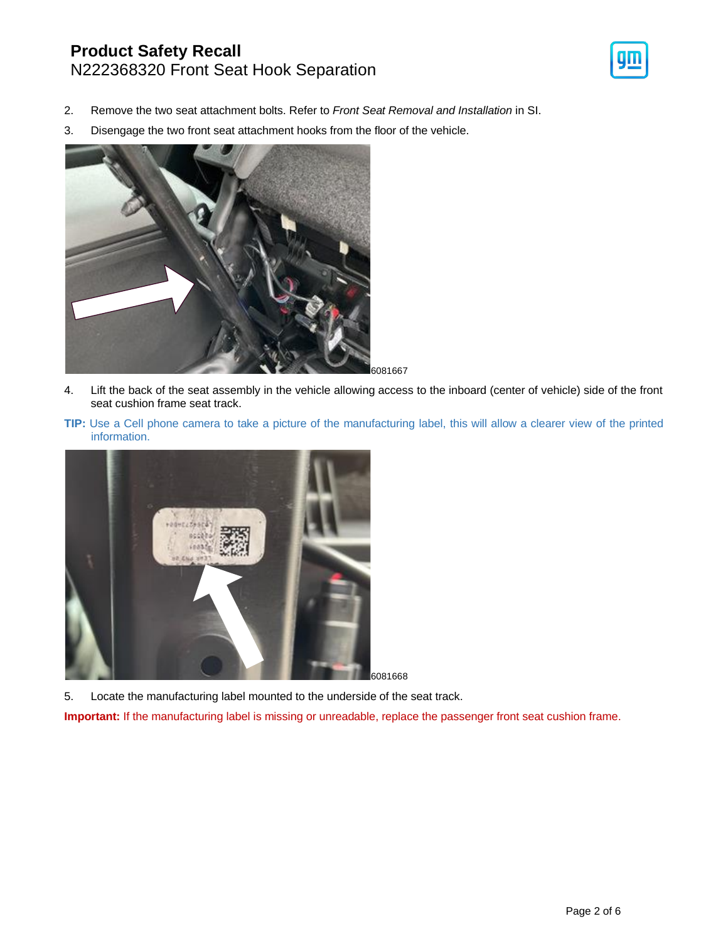### **Product Safety Recall** N222368320 Front Seat Hook Separation



- 2. Remove the two seat attachment bolts. Refer to *Front Seat Removal and Installation* in SI.
- 3. Disengage the two front seat attachment hooks from the floor of the vehicle.



- 4. Lift the back of the seat assembly in the vehicle allowing access to the inboard (center of vehicle) side of the front seat cushion frame seat track.
- **TIP:** Use a Cell phone camera to take a picture of the manufacturing label, this will allow a clearer view of the printed information.



5. Locate the manufacturing label mounted to the underside of the seat track.

**Important:** If the manufacturing label is missing or unreadable, replace the passenger front seat cushion frame.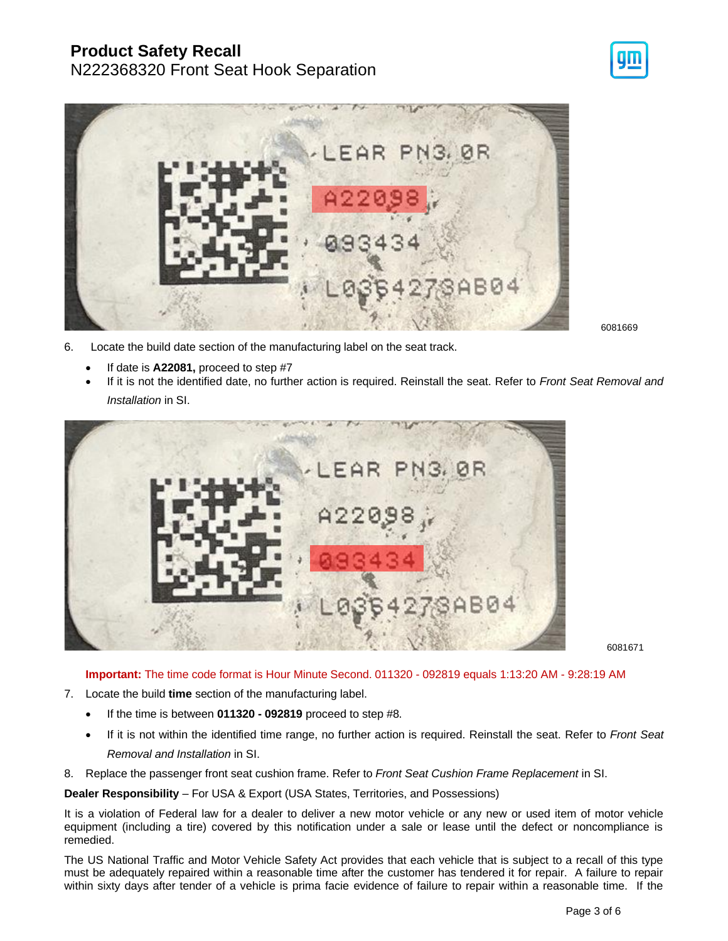## **Product Safety Recall**

## N222368320 Front Seat Hook Separation



6081669

- 6. Locate the build date section of the manufacturing label on the seat track.
	- If date is **A22081,** proceed to step #7
	- If it is not the identified date, no further action is required. Reinstall the seat. Refer to *Front Seat Removal and Installation* in SI.



6081671

**Important:** The time code format is Hour Minute Second. 011320 - 092819 equals 1:13:20 AM - 9:28:19 AM

- 7. Locate the build **time** section of the manufacturing label.
	- If the time is between **011320 - 092819** proceed to step #8.
	- If it is not within the identified time range, no further action is required. Reinstall the seat. Refer to *Front Seat Removal and Installation* in SI.
- 8. Replace the passenger front seat cushion frame. Refer to *Front Seat Cushion Frame Replacement* in SI.

**Dealer Responsibility** – For USA & Export (USA States, Territories, and Possessions)

It is a violation of Federal law for a dealer to deliver a new motor vehicle or any new or used item of motor vehicle equipment (including a tire) covered by this notification under a sale or lease until the defect or noncompliance is remedied.

The US National Traffic and Motor Vehicle Safety Act provides that each vehicle that is subject to a recall of this type must be adequately repaired within a reasonable time after the customer has tendered it for repair. A failure to repair within sixty days after tender of a vehicle is prima facie evidence of failure to repair within a reasonable time. If the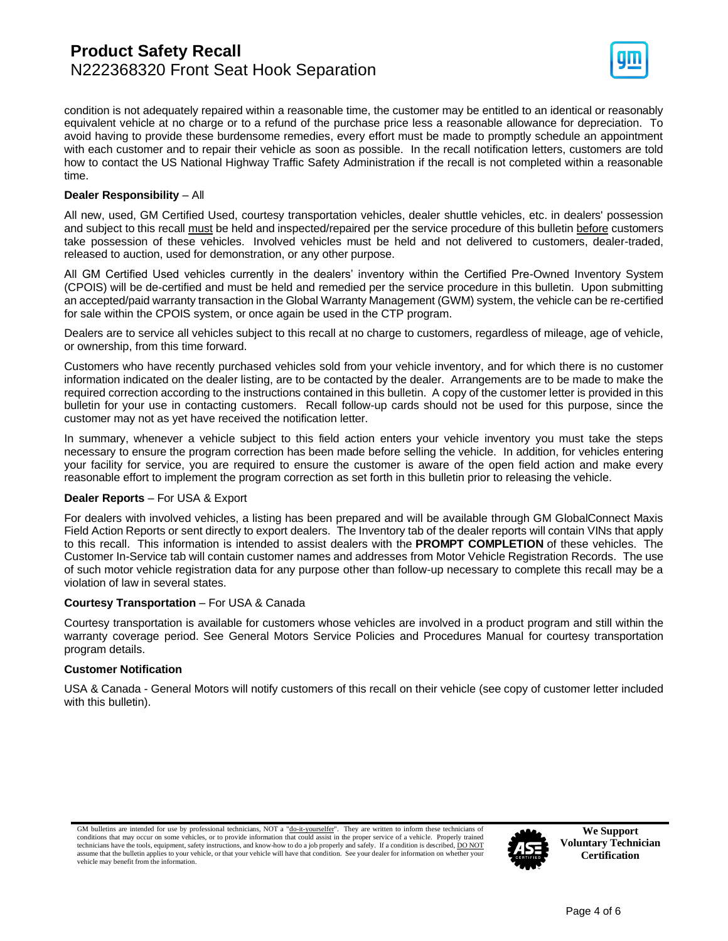

condition is not adequately repaired within a reasonable time, the customer may be entitled to an identical or reasonably equivalent vehicle at no charge or to a refund of the purchase price less a reasonable allowance for depreciation. To avoid having to provide these burdensome remedies, every effort must be made to promptly schedule an appointment with each customer and to repair their vehicle as soon as possible. In the recall notification letters, customers are told how to contact the US National Highway Traffic Safety Administration if the recall is not completed within a reasonable time.

### **Dealer Responsibility** – All

All new, used, GM Certified Used, courtesy transportation vehicles, dealer shuttle vehicles, etc. in dealers' possession and subject to this recall must be held and inspected/repaired per the service procedure of this bulletin before customers take possession of these vehicles. Involved vehicles must be held and not delivered to customers, dealer-traded, released to auction, used for demonstration, or any other purpose.

All GM Certified Used vehicles currently in the dealers' inventory within the Certified Pre-Owned Inventory System (CPOIS) will be de-certified and must be held and remedied per the service procedure in this bulletin. Upon submitting an accepted/paid warranty transaction in the Global Warranty Management (GWM) system, the vehicle can be re-certified for sale within the CPOIS system, or once again be used in the CTP program.

Dealers are to service all vehicles subject to this recall at no charge to customers, regardless of mileage, age of vehicle, or ownership, from this time forward.

Customers who have recently purchased vehicles sold from your vehicle inventory, and for which there is no customer information indicated on the dealer listing, are to be contacted by the dealer. Arrangements are to be made to make the required correction according to the instructions contained in this bulletin. A copy of the customer letter is provided in this bulletin for your use in contacting customers. Recall follow-up cards should not be used for this purpose, since the customer may not as yet have received the notification letter.

In summary, whenever a vehicle subject to this field action enters your vehicle inventory you must take the steps necessary to ensure the program correction has been made before selling the vehicle. In addition, for vehicles entering your facility for service, you are required to ensure the customer is aware of the open field action and make every reasonable effort to implement the program correction as set forth in this bulletin prior to releasing the vehicle.

### **Dealer Reports** – For USA & Export

For dealers with involved vehicles, a listing has been prepared and will be available through GM GlobalConnect Maxis Field Action Reports or sent directly to export dealers. The Inventory tab of the dealer reports will contain VINs that apply to this recall. This information is intended to assist dealers with the **PROMPT COMPLETION** of these vehicles. The Customer In-Service tab will contain customer names and addresses from Motor Vehicle Registration Records. The use of such motor vehicle registration data for any purpose other than follow-up necessary to complete this recall may be a violation of law in several states.

### **Courtesy Transportation** – For USA & Canada

Courtesy transportation is available for customers whose vehicles are involved in a product program and still within the warranty coverage period. See General Motors Service Policies and Procedures Manual for courtesy transportation program details.

### **Customer Notification**

USA & Canada - General Motors will notify customers of this recall on their vehicle (see copy of customer letter included with this bulletin).

GM bulletins are intended for use by professional technicians, NOT a "<u>do-it-yourselfer</u>". They are written to inform these technicians of conditions that may occur on some vehicles, or to provide information that could as technicians have the tools, equipment, safety instructions, and know-how to do a job properly and safely. If a condition is described, DO NOT assume that the bulletin applies to your vehicle, or that your vehicle will have that condition. See your dealer for information on whether your vehicle may benefit from the information.



**We Support Voluntary Technician Certification**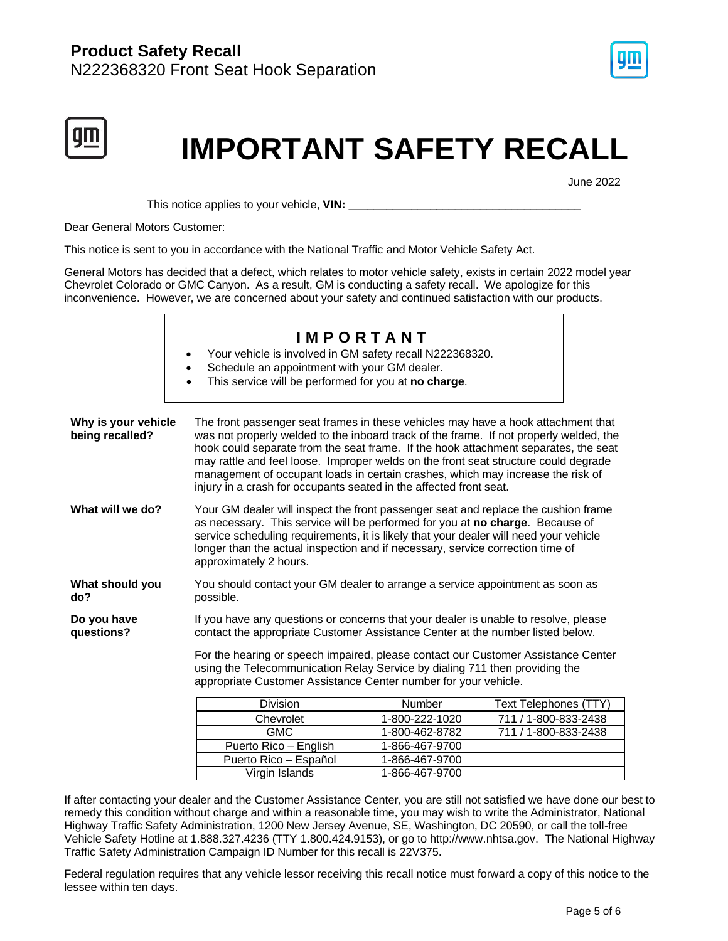



# **IMPORTANT SAFETY RECALL**

June 2022

This notice applies to your vehicle, **VIN: \_\_\_\_\_\_\_\_\_\_\_\_\_\_\_\_\_\_\_\_\_\_\_\_\_\_\_\_\_\_\_\_\_\_\_\_\_**

Dear General Motors Customer:

This notice is sent to you in accordance with the National Traffic and Motor Vehicle Safety Act.

General Motors has decided that a defect, which relates to motor vehicle safety, exists in certain 2022 model year Chevrolet Colorado or GMC Canyon. As a result, GM is conducting a safety recall. We apologize for this inconvenience. However, we are concerned about your safety and continued satisfaction with our products.

|                                                                                                                                                                                                                                     | <b>IMPORTANT</b><br>Your vehicle is involved in GM safety recall N222368320.<br>$\bullet$<br>Schedule an appointment with your GM dealer.<br>$\bullet$<br>This service will be performed for you at no charge.<br>$\bullet$                                                                                                                                                                                                                                                                                        |                |                       |  |
|-------------------------------------------------------------------------------------------------------------------------------------------------------------------------------------------------------------------------------------|--------------------------------------------------------------------------------------------------------------------------------------------------------------------------------------------------------------------------------------------------------------------------------------------------------------------------------------------------------------------------------------------------------------------------------------------------------------------------------------------------------------------|----------------|-----------------------|--|
| Why is your vehicle<br>being recalled?                                                                                                                                                                                              | The front passenger seat frames in these vehicles may have a hook attachment that<br>was not properly welded to the inboard track of the frame. If not properly welded, the<br>hook could separate from the seat frame. If the hook attachment separates, the seat<br>may rattle and feel loose. Improper welds on the front seat structure could degrade<br>management of occupant loads in certain crashes, which may increase the risk of<br>injury in a crash for occupants seated in the affected front seat. |                |                       |  |
| What will we do?                                                                                                                                                                                                                    | Your GM dealer will inspect the front passenger seat and replace the cushion frame<br>as necessary. This service will be performed for you at no charge. Because of<br>service scheduling requirements, it is likely that your dealer will need your vehicle<br>longer than the actual inspection and if necessary, service correction time of<br>approximately 2 hours.                                                                                                                                           |                |                       |  |
| What should you<br>do?                                                                                                                                                                                                              | You should contact your GM dealer to arrange a service appointment as soon as<br>possible.                                                                                                                                                                                                                                                                                                                                                                                                                         |                |                       |  |
| If you have any questions or concerns that your dealer is unable to resolve, please<br>Do you have<br>questions?<br>contact the appropriate Customer Assistance Center at the number listed below.                                  |                                                                                                                                                                                                                                                                                                                                                                                                                                                                                                                    |                |                       |  |
| For the hearing or speech impaired, please contact our Customer Assistance Center<br>using the Telecommunication Relay Service by dialing 711 then providing the<br>appropriate Customer Assistance Center number for your vehicle. |                                                                                                                                                                                                                                                                                                                                                                                                                                                                                                                    |                |                       |  |
|                                                                                                                                                                                                                                     | Division                                                                                                                                                                                                                                                                                                                                                                                                                                                                                                           | Number         | Text Telephones (TTY) |  |
|                                                                                                                                                                                                                                     | Chevrolet                                                                                                                                                                                                                                                                                                                                                                                                                                                                                                          | 1-800-222-1020 | 711 / 1-800-833-2438  |  |
|                                                                                                                                                                                                                                     | <b>GMC</b>                                                                                                                                                                                                                                                                                                                                                                                                                                                                                                         | 1-800-462-8782 | 711 / 1-800-833-2438  |  |
|                                                                                                                                                                                                                                     | Puerto Rico - English                                                                                                                                                                                                                                                                                                                                                                                                                                                                                              | 1-866-467-9700 |                       |  |
|                                                                                                                                                                                                                                     | Puerto Rico - Español                                                                                                                                                                                                                                                                                                                                                                                                                                                                                              | 1-866-467-9700 |                       |  |
|                                                                                                                                                                                                                                     | Virgin Islands                                                                                                                                                                                                                                                                                                                                                                                                                                                                                                     | 1-866-467-9700 |                       |  |

If after contacting your dealer and the Customer Assistance Center, you are still not satisfied we have done our best to remedy this condition without charge and within a reasonable time, you may wish to write the Administrator, National Highway Traffic Safety Administration, 1200 New Jersey Avenue, SE, Washington, DC 20590, or call the toll-free Vehicle Safety Hotline at 1.888.327.4236 (TTY 1.800.424.9153), or go to http://www.nhtsa.gov. The National Highway Traffic Safety Administration Campaign ID Number for this recall is 22V375.

Federal regulation requires that any vehicle lessor receiving this recall notice must forward a copy of this notice to the lessee within ten days.